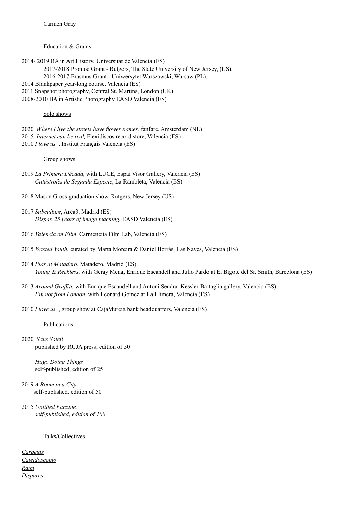Education & Grants

2014- 2019 BA in Art History, Universitat de València (ES) 2017-2018 Promoe Grant - Rutgers, The State University of New Jersey, (US). 2016-2017 Erasmus Grant - Uniwersytet Warszawski, Warsaw (PL). 2014 Blankpaper year-long course, Valencia (ES) 2011 Snapshot photography, Central St. Martins, London (UK) 2008-2010 BA in Artistic Photography EASD Valencia (ES)

### Solo shows

2020 *Where I live the streets have flower names,* fanfare, Amsterdam (NL) 2015 *Internet can be real,* Flexidiscos record store, Valencia (ES) 2010 *I love us\_*, Institut Français Valencia (ES)

#### Group shows

- 2019 *La Primera Década*, with LUCE, Espai Visor Gallery, Valencia (ES) *Catástrofes de Segunda Especie*, La Rambleta, Valencia (ES)
- 2018 Mason Gross graduation show, Rutgers, New Jersey (US)
- 2017 *Subculture*, Area3, Madrid (ES) *Dispar. 25 years of image teaching*, EASD Valencia (ES)
- 2016 *Valencia on Film*, Carmencita Film Lab, Valencia (ES)
- 2015 *Wasted Youth*, curated by Marta Moreira & Daniel Borrás, Las Naves, Valencia (ES)
- 2014 *Plas at Matadero*, Matadero, Madrid (ES) *Young & Reckless*, with Geray Mena, Enrique Escandell and Julio Pardo at El Bigote del Sr. Smith, Barcelona (ES)
- 2013 *Around Graffiti,* with Enrique Escandell and Antoni Sendra. Kessler-Battaglia gallery, Valencia (ES) *I'm not from London*, with Leonard Gómez at La Llimera, Valencia (ES)
- 2010 *I love us\_*, group show at CajaMurcia bank headquarters, Valencia (ES)

#### **Publications**

2020 *Sans Soleil* published by RUJA press, edition of 50

> *Hugo Doing Things* self-published, edition of 25

- 2019 *A Room in a City* self-published, edition of 50
- 2015 *Untitled Fanzine, self-published, edition of 100*

### Talks/Collectives

*[Carpetas](https://www.youtube.com/watch?v=_wpo_Nm7UzM&ab_channel=CARPETAS) [Caleidoscopio](https://caleidoscopiophoto.tumblr.com/que-es) [Raïm](https://raim.es/portfolio/carmen-gray/) [Dispares](https://www.instagram.com/dispares/?fbclid=IwAR1albt-6OYIZvGeGLvYGw8WRcg3Gni_aqrsJ2CmyaK1ocvRtESvommrpLE)*